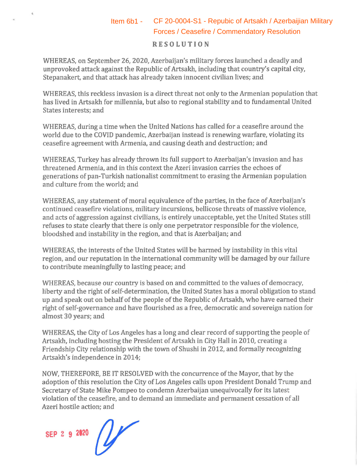## **RESOLUTION**  Item 6b1 - CF 20-0004-S1 - Repubic of Artsakh / Azerbaijian Military<br>Forces / Ceasefire / Commendatory Resolution

WHEREAS, on September 26, 2020, Azerbaijan's military forces launched a deadly and unprovoked attack against the Republic of Artsakh, including that country's capital city, Stepanakert, and that attack has already taken innocent civilian lives; and

WHEREAS, this reckless invasion is a direct threat not only to the Armenian population that has lived in Artsakh for millennia, but also to regional stability and to fundamental United States interests; and

WHEREAS, during a time when the United Nations has called for a ceasefire around the world due to the COVID pandemic, Azerbaijan instead is renewing warfare, violating its ceasefire agreement with Armenia, and causing death and destruction; and

WHEREAS, Turkey has already thrown its full support to Azerbaijan's invasion and has threatened Armenia, and in this context the Azeri invasion carries the echoes of generations of pan-Turkish nationalist commitment to erasing the Armenian population and culture from the world; and

WHEREAS, any statement of moral equivalence of the parties, in the face of Azerbaijan's continued ceasefire violations, military incursions, bellicose threats of massive violence, and acts of aggression against civilians, is entirely unacceptable, yet the United States still refuses to state clearly that there is only one perpetrator responsible for the violence, bloodshed and instability in the region, and that is Azerbaijan; and

WHEREAS, the interests of the United States will be harmed by instability in this vital region, and our reputation in the international community will be damaged by our failure to contribute meaningfully to lasting peace; and

WHEREAS, because our country is based on and committed to the values of democracy, liberty and the right of self-determination, the United States has a moral obligation to stand up and speak out on behalf of the people of the Republic of Artsakh, who have earned their right of self-governance and have flourished as a free, democratic and sovereign nation for almost 30 years; and

WHEREAS, the City of Los Angeles has a long and clear record of supporting the people of Artsakh, including hosting the President of Artsakh in City Hall in 2010, creating a Friendship City relationship with the town of Shushi in 2012, and formally recognizing Artsakh's independence in 2014;

NOW, THEREFORE, BE IT RESOLVED with the concurrence of the Mayor, that by the adoption of this resolution the City of Los Angeles calls upon President Donald Trump and Secretary of State Mike Pompeo to condemn Azerbaijan unequivocally for its latest violation of the ceasefire, and to demand an immediate and permanent cessation of all Azeri hostile action; and

**SEP 2 9 2120**